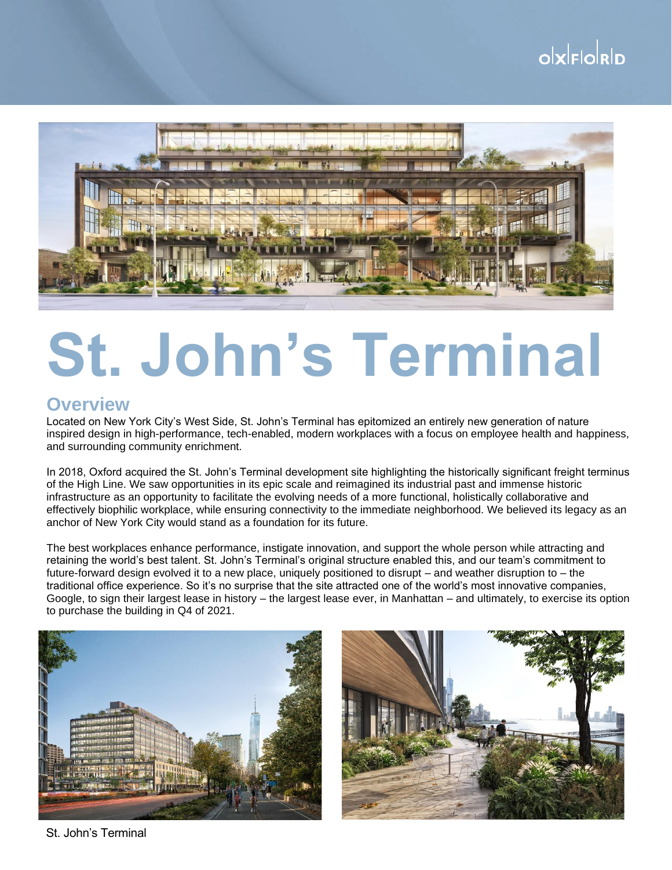## $o$ <sub>k</sub> $|E|$ <sub>c</sub> $o$ <sub>k</sub> $|D$



# **St. John's Terminal**

#### **Overview**

Located on New York City's West Side, St. John's Terminal has epitomized an entirely new generation of nature inspired design in high-performance, tech-enabled, modern workplaces with a focus on employee health and happiness, and surrounding community enrichment.

In 2018, Oxford acquired the St. John's Terminal development site highlighting the historically significant freight terminus of the High Line. We saw opportunities in its epic scale and reimagined its industrial past and immense historic infrastructure as an opportunity to facilitate the evolving needs of a more functional, holistically collaborative and effectively biophilic workplace, while ensuring connectivity to the immediate neighborhood. We believed its legacy as an anchor of New York City would stand as a foundation for its future.

The best workplaces enhance performance, instigate innovation, and support the whole person while attracting and retaining the world's best talent. St. John's Terminal's original structure enabled this, and our team's commitment to future-forward design evolved it to a new place, uniquely positioned to disrupt – and weather disruption to – the traditional office experience. So it's no surprise that the site attracted one of the world's most innovative companies, Google, to sign their largest lease in history – the largest lease ever, in Manhattan – and ultimately, to exercise its option to purchase the building in Q4 of 2021.





St. John's Terminal